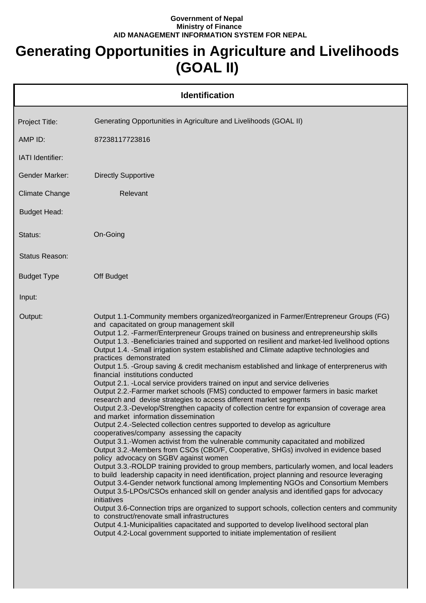## **Government of Nepal Ministry of Finance AID MANAGEMENT INFORMATION SYSTEM FOR NEPAL**

## **Generating Opportunities in Agriculture and Livelihoods (GOAL II)**

|                       | <b>Identification</b>                                                                                                                                                                                                                                                                                                                                                                                                                                                                                                                                                                                                                                                                                                                                                                                                                                                                                                                                                                                                                                                                                                                                                                                                                                                                                                                                                                                                                                                                                                                                                                                                                                                                                                                                                                                                                                                                                                                                                                                                                                            |
|-----------------------|------------------------------------------------------------------------------------------------------------------------------------------------------------------------------------------------------------------------------------------------------------------------------------------------------------------------------------------------------------------------------------------------------------------------------------------------------------------------------------------------------------------------------------------------------------------------------------------------------------------------------------------------------------------------------------------------------------------------------------------------------------------------------------------------------------------------------------------------------------------------------------------------------------------------------------------------------------------------------------------------------------------------------------------------------------------------------------------------------------------------------------------------------------------------------------------------------------------------------------------------------------------------------------------------------------------------------------------------------------------------------------------------------------------------------------------------------------------------------------------------------------------------------------------------------------------------------------------------------------------------------------------------------------------------------------------------------------------------------------------------------------------------------------------------------------------------------------------------------------------------------------------------------------------------------------------------------------------------------------------------------------------------------------------------------------------|
| Project Title:        | Generating Opportunities in Agriculture and Livelihoods (GOAL II)                                                                                                                                                                                                                                                                                                                                                                                                                                                                                                                                                                                                                                                                                                                                                                                                                                                                                                                                                                                                                                                                                                                                                                                                                                                                                                                                                                                                                                                                                                                                                                                                                                                                                                                                                                                                                                                                                                                                                                                                |
| AMP ID:               | 87238117723816                                                                                                                                                                                                                                                                                                                                                                                                                                                                                                                                                                                                                                                                                                                                                                                                                                                                                                                                                                                                                                                                                                                                                                                                                                                                                                                                                                                                                                                                                                                                                                                                                                                                                                                                                                                                                                                                                                                                                                                                                                                   |
| IATI Identifier:      |                                                                                                                                                                                                                                                                                                                                                                                                                                                                                                                                                                                                                                                                                                                                                                                                                                                                                                                                                                                                                                                                                                                                                                                                                                                                                                                                                                                                                                                                                                                                                                                                                                                                                                                                                                                                                                                                                                                                                                                                                                                                  |
| <b>Gender Marker:</b> | <b>Directly Supportive</b>                                                                                                                                                                                                                                                                                                                                                                                                                                                                                                                                                                                                                                                                                                                                                                                                                                                                                                                                                                                                                                                                                                                                                                                                                                                                                                                                                                                                                                                                                                                                                                                                                                                                                                                                                                                                                                                                                                                                                                                                                                       |
| <b>Climate Change</b> | Relevant                                                                                                                                                                                                                                                                                                                                                                                                                                                                                                                                                                                                                                                                                                                                                                                                                                                                                                                                                                                                                                                                                                                                                                                                                                                                                                                                                                                                                                                                                                                                                                                                                                                                                                                                                                                                                                                                                                                                                                                                                                                         |
| <b>Budget Head:</b>   |                                                                                                                                                                                                                                                                                                                                                                                                                                                                                                                                                                                                                                                                                                                                                                                                                                                                                                                                                                                                                                                                                                                                                                                                                                                                                                                                                                                                                                                                                                                                                                                                                                                                                                                                                                                                                                                                                                                                                                                                                                                                  |
| Status:               | On-Going                                                                                                                                                                                                                                                                                                                                                                                                                                                                                                                                                                                                                                                                                                                                                                                                                                                                                                                                                                                                                                                                                                                                                                                                                                                                                                                                                                                                                                                                                                                                                                                                                                                                                                                                                                                                                                                                                                                                                                                                                                                         |
| Status Reason:        |                                                                                                                                                                                                                                                                                                                                                                                                                                                                                                                                                                                                                                                                                                                                                                                                                                                                                                                                                                                                                                                                                                                                                                                                                                                                                                                                                                                                                                                                                                                                                                                                                                                                                                                                                                                                                                                                                                                                                                                                                                                                  |
| <b>Budget Type</b>    | Off Budget                                                                                                                                                                                                                                                                                                                                                                                                                                                                                                                                                                                                                                                                                                                                                                                                                                                                                                                                                                                                                                                                                                                                                                                                                                                                                                                                                                                                                                                                                                                                                                                                                                                                                                                                                                                                                                                                                                                                                                                                                                                       |
| Input:                |                                                                                                                                                                                                                                                                                                                                                                                                                                                                                                                                                                                                                                                                                                                                                                                                                                                                                                                                                                                                                                                                                                                                                                                                                                                                                                                                                                                                                                                                                                                                                                                                                                                                                                                                                                                                                                                                                                                                                                                                                                                                  |
| Output:               | Output 1.1-Community members organized/reorganized in Farmer/Entrepreneur Groups (FG)<br>and capacitated on group management skill<br>Output 1.2. - Farmer/Enterpreneur Groups trained on business and entrepreneurship skills<br>Output 1.3. -Beneficiaries trained and supported on resilient and market-led livelihood options<br>Output 1.4. - Small irrigation system established and Climate adaptive technologies and<br>practices demonstrated<br>Output 1.5. -Group saving & credit mechanism established and linkage of enterprenerus with<br>financial institutions conducted<br>Output 2.1. - Local service providers trained on input and service deliveries<br>Output 2.2.-Farmer market schools (FMS) conducted to empower farmers in basic market<br>research and devise strategies to access different market segments<br>Output 2.3.-Develop/Strengthen capacity of collection centre for expansion of coverage area<br>and market information dissemination<br>Output 2.4.-Selected collection centres supported to develop as agriculture<br>cooperatives/company assessing the capacity<br>Output 3.1.-Women activist from the vulnerable community capacitated and mobilized<br>Output 3.2.-Members from CSOs (CBO/F, Cooperative, SHGs) involved in evidence based<br>policy advocacy on SGBV against women<br>Output 3.3.-ROLDP training provided to group members, particularly women, and local leaders<br>to build leadership capacity in need identification, project planning and resource leveraging<br>Output 3.4-Gender network functional among Implementing NGOs and Consortium Members<br>Output 3.5-LPOs/CSOs enhanced skill on gender analysis and identified gaps for advocacy<br>initiatives<br>Output 3.6-Connection trips are organized to support schools, collection centers and community<br>to construct/renovate small infrastructures<br>Output 4.1-Municipalities capacitated and supported to develop livelihood sectoral plan<br>Output 4.2-Local government supported to initiate implementation of resilient |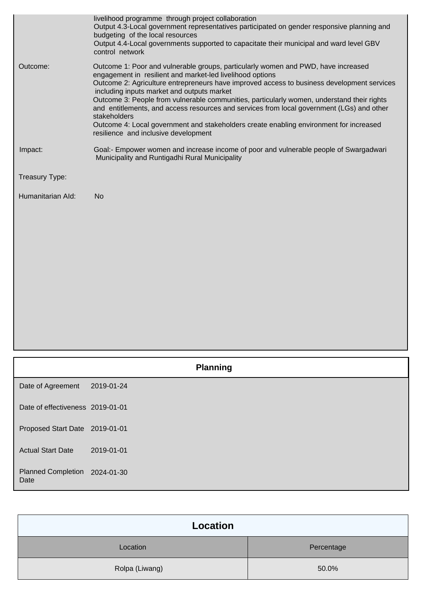|                   | livelihood programme through project collaboration<br>Output 4.3-Local government representatives participated on gender responsive planning and<br>budgeting of the local resources<br>Output 4.4-Local governments supported to capacitate their municipal and ward level GBV<br>control network                                                                                                                                                                                                                                                                                                                                      |
|-------------------|-----------------------------------------------------------------------------------------------------------------------------------------------------------------------------------------------------------------------------------------------------------------------------------------------------------------------------------------------------------------------------------------------------------------------------------------------------------------------------------------------------------------------------------------------------------------------------------------------------------------------------------------|
| Outcome:          | Outcome 1: Poor and vulnerable groups, particularly women and PWD, have increased<br>engagement in resilient and market-led livelihood options<br>Outcome 2: Agriculture entrepreneurs have improved access to business development services<br>including inputs market and outputs market<br>Outcome 3: People from vulnerable communities, particularly women, understand their rights<br>and entitlements, and access resources and services from local government (LGs) and other<br>stakeholders<br>Outcome 4: Local government and stakeholders create enabling environment for increased<br>resilience and inclusive development |
| Impact:           | Goal:- Empower women and increase income of poor and vulnerable people of Swargadwari<br>Municipality and Runtigadhi Rural Municipality                                                                                                                                                                                                                                                                                                                                                                                                                                                                                                 |
| Treasury Type:    |                                                                                                                                                                                                                                                                                                                                                                                                                                                                                                                                                                                                                                         |
| Humanitarian Ald: | <b>No</b>                                                                                                                                                                                                                                                                                                                                                                                                                                                                                                                                                                                                                               |
|                   |                                                                                                                                                                                                                                                                                                                                                                                                                                                                                                                                                                                                                                         |

|                                   | <b>Planning</b> |  |
|-----------------------------------|-----------------|--|
| Date of Agreement                 | 2019-01-24      |  |
| Date of effectiveness 2019-01-01  |                 |  |
| Proposed Start Date 2019-01-01    |                 |  |
| <b>Actual Start Date</b>          | 2019-01-01      |  |
| <b>Planned Completion</b><br>Date | 2024-01-30      |  |

| Location       |            |
|----------------|------------|
| Location       | Percentage |
| Rolpa (Liwang) | 50.0%      |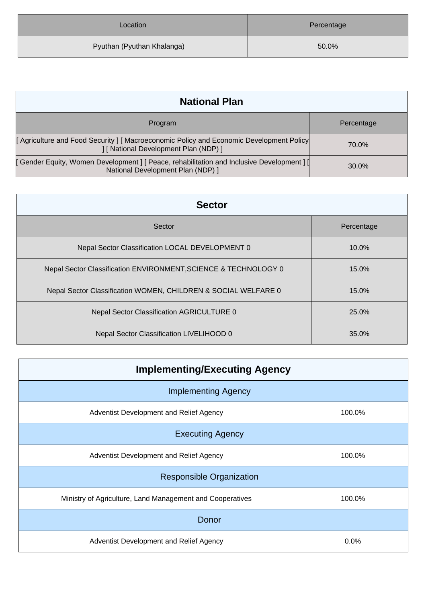| Location                   | Percentage |
|----------------------------|------------|
| Pyuthan (Pyuthan Khalanga) | 50.0%      |

| <b>National Plan</b>                                                                                                            |            |
|---------------------------------------------------------------------------------------------------------------------------------|------------|
| Program                                                                                                                         | Percentage |
| Agriculture and Food Security   Macroeconomic Policy and Economic Development Policy<br>] [ National Development Plan (NDP) ]   | 70.0%      |
| [ Gender Equity, Women Development ] [ Peace, rehabilitation and Inclusive Development ] [<br>National Development Plan (NDP) ] | 30.0%      |

| <b>Sector</b>                                                   |            |
|-----------------------------------------------------------------|------------|
| Sector                                                          | Percentage |
| Nepal Sector Classification LOCAL DEVELOPMENT 0                 | $10.0\%$   |
| Nepal Sector Classification ENVIRONMENT, SCIENCE & TECHNOLOGY 0 | 15.0%      |
| Nepal Sector Classification WOMEN, CHILDREN & SOCIAL WELFARE 0  | 15.0%      |
| Nepal Sector Classification AGRICULTURE 0                       | 25.0%      |
| Nepal Sector Classification LIVELIHOOD 0                        | 35.0%      |

| <b>Implementing/Executing Agency</b>                      |        |  |
|-----------------------------------------------------------|--------|--|
| <b>Implementing Agency</b>                                |        |  |
| Adventist Development and Relief Agency                   | 100.0% |  |
| <b>Executing Agency</b>                                   |        |  |
| Adventist Development and Relief Agency                   | 100.0% |  |
| <b>Responsible Organization</b>                           |        |  |
| Ministry of Agriculture, Land Management and Cooperatives | 100.0% |  |
| Donor                                                     |        |  |
| Adventist Development and Relief Agency                   | 0.0%   |  |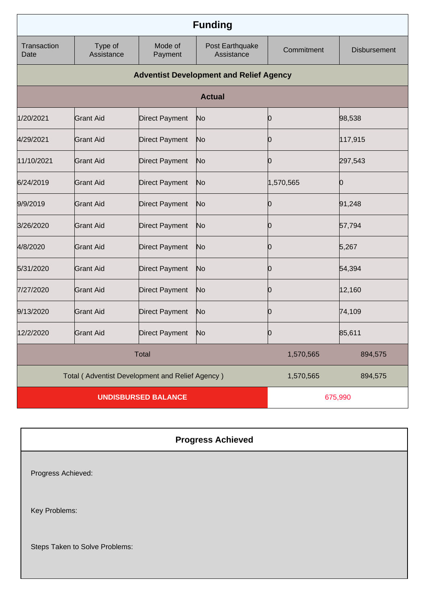| <b>Funding</b>             |                                                 |                       |                                                |            |                     |
|----------------------------|-------------------------------------------------|-----------------------|------------------------------------------------|------------|---------------------|
| Transaction<br>Date        | Type of<br>Assistance                           | Mode of<br>Payment    | Post Earthquake<br>Assistance                  | Commitment | <b>Disbursement</b> |
|                            |                                                 |                       | <b>Adventist Development and Relief Agency</b> |            |                     |
|                            |                                                 |                       | <b>Actual</b>                                  |            |                     |
| 1/20/2021                  | <b>Grant Aid</b>                                | <b>Direct Payment</b> | No                                             | Ю          | 98,538              |
| 4/29/2021                  | <b>Grant Aid</b>                                | <b>Direct Payment</b> | No                                             | Ю          | 117,915             |
| 11/10/2021                 | <b>Grant Aid</b>                                | <b>Direct Payment</b> | No                                             | O          | 297,543             |
| 6/24/2019                  | <b>Grant Aid</b>                                | <b>Direct Payment</b> | No                                             | 1,570,565  | Ю                   |
| 9/9/2019                   | <b>Grant Aid</b>                                | <b>Direct Payment</b> | No                                             |            | 91,248              |
| 3/26/2020                  | <b>Grant Aid</b>                                | <b>Direct Payment</b> | No                                             | Ю          | 57,794              |
| 4/8/2020                   | <b>Grant Aid</b>                                | <b>Direct Payment</b> | No                                             | O          | 5,267               |
| 5/31/2020                  | <b>Grant Aid</b>                                | <b>Direct Payment</b> | No                                             | 0          | 54,394              |
| 7/27/2020                  | <b>Grant Aid</b>                                | <b>Direct Payment</b> | No                                             | O          | 12,160              |
| 9/13/2020                  | <b>Grant Aid</b>                                | <b>Direct Payment</b> | No                                             | 0          | 74,109              |
| 12/2/2020                  | <b>Grant Aid</b>                                | <b>Direct Payment</b> | N <sub>o</sub>                                 | 0          | 85,611              |
|                            |                                                 | <b>Total</b>          |                                                | 1,570,565  | 894,575             |
|                            | Total (Adventist Development and Relief Agency) |                       | 1,570,565                                      | 894,575    |                     |
| <b>UNDISBURSED BALANCE</b> |                                                 |                       |                                                | 675,990    |                     |

|                                | <b>Progress Achieved</b> |
|--------------------------------|--------------------------|
| Progress Achieved:             |                          |
| Key Problems:                  |                          |
| Steps Taken to Solve Problems: |                          |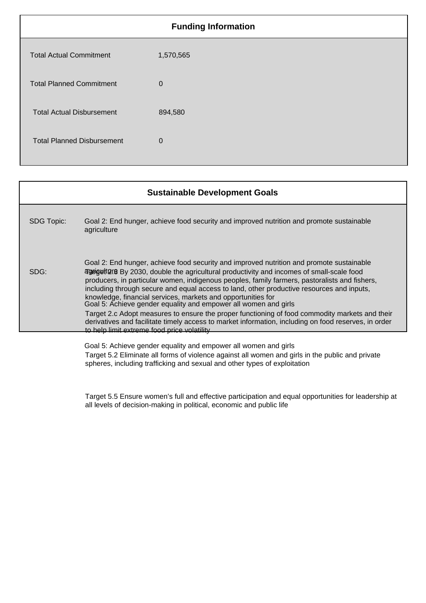|                                   | <b>Funding Information</b> |
|-----------------------------------|----------------------------|
| <b>Total Actual Commitment</b>    | 1,570,565                  |
| <b>Total Planned Commitment</b>   | $\mathbf 0$                |
| <b>Total Actual Disbursement</b>  | 894,580                    |
| <b>Total Planned Disbursement</b> | $\overline{0}$             |
|                                   |                            |

|                   | <b>Sustainable Development Goals</b>                                                                                                                                                                                                                                                                                                                                                                                                                                                                                                                                                                                                                                                                                                                                      |
|-------------------|---------------------------------------------------------------------------------------------------------------------------------------------------------------------------------------------------------------------------------------------------------------------------------------------------------------------------------------------------------------------------------------------------------------------------------------------------------------------------------------------------------------------------------------------------------------------------------------------------------------------------------------------------------------------------------------------------------------------------------------------------------------------------|
| <b>SDG Topic:</b> | Goal 2: End hunger, achieve food security and improved nutrition and promote sustainable<br>agriculture                                                                                                                                                                                                                                                                                                                                                                                                                                                                                                                                                                                                                                                                   |
| SDG:              | Goal 2: End hunger, achieve food security and improved nutrition and promote sustainable<br>agriguit 2030, double the agricultural productivity and incomes of small-scale food<br>producers, in particular women, indigenous peoples, family farmers, pastoralists and fishers,<br>including through secure and equal access to land, other productive resources and inputs,<br>knowledge, financial services, markets and opportunities for<br>Goal 5: Achieve gender equality and empower all women and girls<br>Target 2.c Adopt measures to ensure the proper functioning of food commodity markets and their<br>derivatives and facilitate timely access to market information, including on food reserves, in order<br>to help limit extreme food price volatility |
|                   | Goal 5: Achieve gender equality and empower all women and girls                                                                                                                                                                                                                                                                                                                                                                                                                                                                                                                                                                                                                                                                                                           |

Target 5.2 Eliminate all forms of violence against all women and girls in the public and private spheres, including trafficking and sexual and other types of exploitation

Target 5.5 Ensure women's full and effective participation and equal opportunities for leadership at all levels of decision-making in political, economic and public life